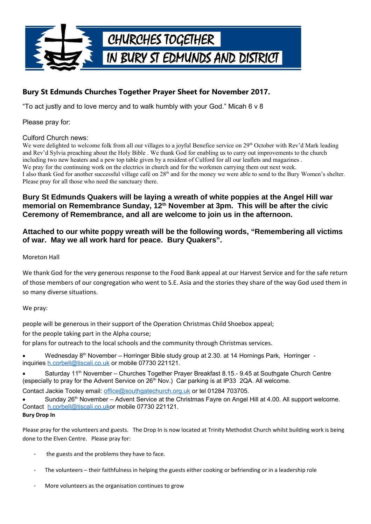

# **Bury St Edmunds Churches Together Prayer Sheet for November 2017.**

"To act justly and to love mercy and to walk humbly with your God." Micah 6 v 8

Please pray for:

### Culford Church news:

We were delighted to welcome folk from all our villages to a joyful Benefice service on 29<sup>th</sup> October with Rev'd Mark leading and Rev'd Sylvia preaching about the Holy Bible . We thank God for enabling us to carry out improvements to the church including two new heaters and a pew top table given by a resident of Culford for all our leaflets and magazines . We pray for the continuing work on the electrics in church and for the workmen carrying them out next week. I also thank God for another successful village café on 28<sup>th</sup> and for the money we were able to send to the Bury Women's shelter. Please pray for all those who need the sanctuary there.

### **Bury St Edmunds Quakers will be laying a wreath of white poppies at the Angel Hill war memorial on Remembrance Sunday, 12th November at 3pm. This will be after the civic Ceremony of Remembrance, and all are welcome to join us in the afternoon.**

### **Attached to our white poppy wreath will be the following words, "Remembering all victims of war. May we all work hard for peace. Bury Quakers".**

### Moreton Hall

We thank God for the very generous response to the Food Bank appeal at our Harvest Service and for the safe return of those members of our congregation who went to S.E. Asia and the stories they share of the way God used them in so many diverse situations.

### We pray:

people will be generous in their support of the Operation Christmas Child Shoebox appeal;

for the people taking part in the Alpha course;

for plans for outreach to the local schools and the community through Christmas services.

Wednesday 8<sup>th</sup> November – Horringer Bible study group at 2.30. at 14 Hornings Park, Horringer inquiries [h.corbell@tiscali.co.uk](mailto:h.corbell@tiscali.co.uk) or mobile 07730 221121.

Saturday 11<sup>th</sup> November – Churches Together Prayer Breakfast 8.15.- 9.45 at Southgate Church Centre (especially to pray for the Advent Service on  $26<sup>th</sup>$  Nov.) Car parking is at IP33 2QA. All welcome.

Contact Jackie Tooley email: [office@southgatechurch.org.uk](mailto:office@southgatechurch.org.uk) or tel 01284 703705.

Sunday 26<sup>th</sup> November – Advent Service at the Christmas Fayre on Angel Hill at 4.00. All support welcome. Contact [h.corbell@tiscali.co.uko](mailto:h.corbell@tiscali.co.uk)r mobile 07730 221121. **Bury Drop In**

Please pray for the volunteers and guests. The Drop In is now located at Trinity Methodist Church whilst building work is being done to the Elven Centre. Please pray for:

- the guests and the problems they have to face.
- The volunteers their faithfulness in helping the guests either cooking or befriending or in a leadership role
- More volunteers as the organisation continues to grow